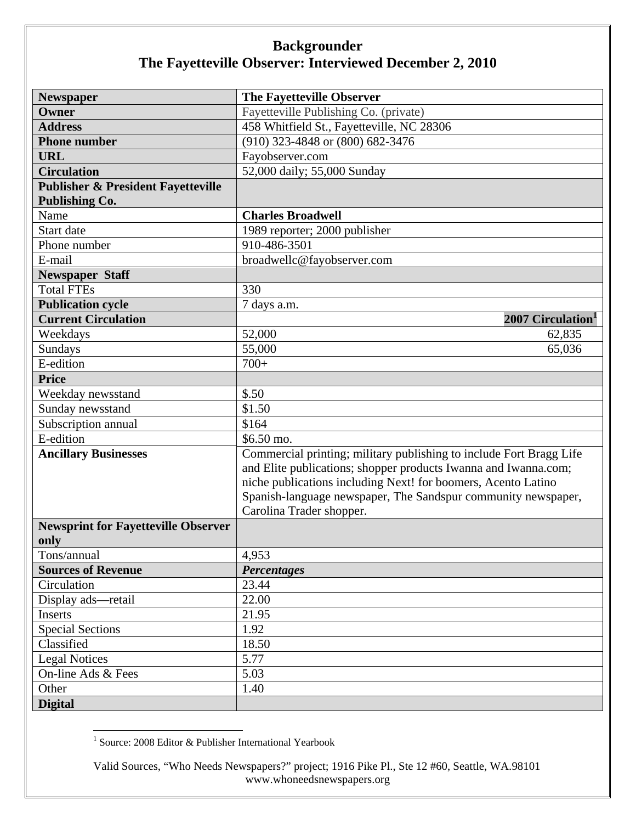## **Backgrounder The Fayetteville Observer: Interviewed December 2, 2010**

| <b>Newspaper</b>                              | The Fayetteville Observer                                           |
|-----------------------------------------------|---------------------------------------------------------------------|
| Owner                                         | Fayetteville Publishing Co. (private)                               |
| <b>Address</b>                                | 458 Whitfield St., Fayetteville, NC 28306                           |
| <b>Phone number</b>                           | $(910)$ 323-4848 or $(800)$ 682-3476                                |
| <b>URL</b>                                    | Fayobserver.com                                                     |
| <b>Circulation</b>                            | 52,000 daily; 55,000 Sunday                                         |
| <b>Publisher &amp; President Fayetteville</b> |                                                                     |
| <b>Publishing Co.</b>                         |                                                                     |
| Name                                          | <b>Charles Broadwell</b>                                            |
| Start date                                    | 1989 reporter; 2000 publisher                                       |
| Phone number                                  | 910-486-3501                                                        |
| E-mail                                        | broadwellc@fayobserver.com                                          |
| <b>Newspaper Staff</b>                        |                                                                     |
| <b>Total FTEs</b>                             | 330                                                                 |
| <b>Publication cycle</b>                      | 7 days a.m.                                                         |
| <b>Current Circulation</b>                    | 2007 Circulation <sup>1</sup>                                       |
| Weekdays                                      | 52,000<br>62,835                                                    |
| Sundays                                       | 55,000<br>65,036                                                    |
| E-edition                                     | $700+$                                                              |
| <b>Price</b>                                  |                                                                     |
| Weekday newsstand                             | \$.50                                                               |
| Sunday newsstand                              | \$1.50                                                              |
| Subscription annual                           | \$164                                                               |
| E-edition                                     | \$6.50 mo.                                                          |
| <b>Ancillary Businesses</b>                   | Commercial printing; military publishing to include Fort Bragg Life |
|                                               | and Elite publications; shopper products Iwanna and Iwanna.com;     |
|                                               | niche publications including Next! for boomers, Acento Latino       |
|                                               | Spanish-language newspaper, The Sandspur community newspaper,       |
|                                               | Carolina Trader shopper.                                            |
| <b>Newsprint for Fayetteville Observer</b>    |                                                                     |
| only                                          |                                                                     |
| Tons/annual                                   | 4,953                                                               |
| <b>Sources of Revenue</b>                     | <b>Percentages</b>                                                  |
| Circulation                                   | 23.44                                                               |
| Display ads-retail                            | 22.00                                                               |
| Inserts                                       | 21.95                                                               |
| Special Sections                              | 1.92                                                                |
| Classified                                    | 18.50                                                               |
| <b>Legal Notices</b>                          | 5.77                                                                |
| On-line Ads & Fees                            | 5.03                                                                |
| Other                                         | 1.40                                                                |
| <b>Digital</b>                                |                                                                     |

 1 Source: 2008 Editor & Publisher International Yearbook

Valid Sources, "Who Needs Newspapers?" project; 1916 Pike Pl., Ste 12 #60, Seattle, WA.98101 www.whoneedsnewspapers.org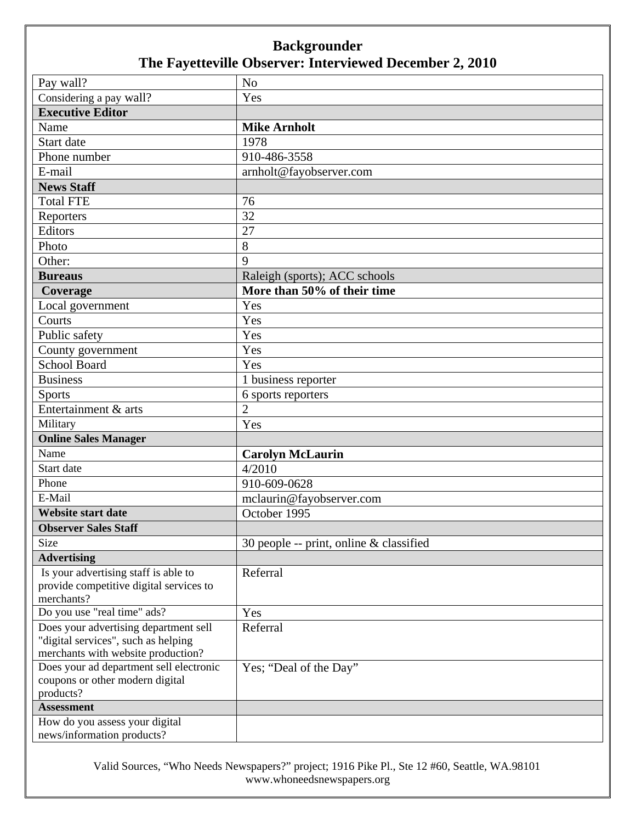## **Backgrounder The Fayetteville Observer: Interviewed December 2, 2010**

| Pay wall?                                                                     | N <sub>o</sub>                          |
|-------------------------------------------------------------------------------|-----------------------------------------|
| Considering a pay wall?                                                       | Yes                                     |
| <b>Executive Editor</b>                                                       |                                         |
| Name                                                                          | <b>Mike Arnholt</b>                     |
| Start date                                                                    | 1978                                    |
| Phone number                                                                  | 910-486-3558                            |
| E-mail                                                                        | arnholt@fayobserver.com                 |
| <b>News Staff</b>                                                             |                                         |
| <b>Total FTE</b>                                                              | 76                                      |
| Reporters                                                                     | 32                                      |
| Editors                                                                       | 27                                      |
| Photo                                                                         | 8                                       |
| Other:                                                                        | 9                                       |
| <b>Bureaus</b>                                                                | Raleigh (sports); ACC schools           |
| Coverage                                                                      | More than 50% of their time             |
| Local government                                                              | Yes                                     |
| Courts                                                                        | Yes                                     |
| Public safety                                                                 | Yes                                     |
| County government                                                             | Yes                                     |
| <b>School Board</b>                                                           | Yes                                     |
| <b>Business</b>                                                               | 1 business reporter                     |
| <b>Sports</b>                                                                 | 6 sports reporters                      |
| Entertainment & arts                                                          | $\overline{2}$                          |
| Military                                                                      | Yes                                     |
| <b>Online Sales Manager</b>                                                   |                                         |
| Name                                                                          | <b>Carolyn McLaurin</b>                 |
| Start date                                                                    | 4/2010                                  |
| Phone                                                                         | 910-609-0628                            |
| E-Mail                                                                        | mclaurin@fayobserver.com                |
| <b>Website start date</b>                                                     | October 1995                            |
| <b>Observer Sales Staff</b>                                                   |                                         |
| Size                                                                          | 30 people -- print, online & classified |
| <b>Advertising</b>                                                            |                                         |
| Is your advertising staff is able to                                          | Referral                                |
| provide competitive digital services to                                       |                                         |
| merchants?                                                                    |                                         |
| Do you use "real time" ads?                                                   | Yes                                     |
| Does your advertising department sell                                         | Referral                                |
| "digital services", such as helping                                           |                                         |
| merchants with website production?<br>Does your ad department sell electronic |                                         |
| coupons or other modern digital                                               | Yes; "Deal of the Day"                  |
| products?                                                                     |                                         |
| <b>Assessment</b>                                                             |                                         |
| How do you assess your digital                                                |                                         |
| news/information products?                                                    |                                         |

Valid Sources, "Who Needs Newspapers?" project; 1916 Pike Pl., Ste 12 #60, Seattle, WA.98101 www.whoneedsnewspapers.org